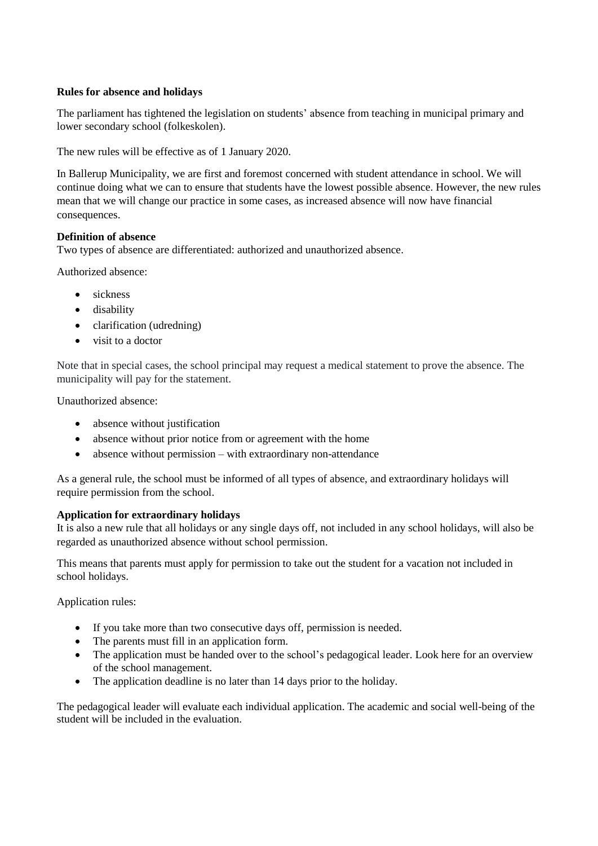## **Rules for absence and holidays**

The parliament has tightened the legislation on students' absence from teaching in [municipal primary and](https://da.bab.la/ordbog/engelsk-dansk/municipal-primary-and-lower-secondary-school)  [lower secondary school](https://da.bab.la/ordbog/engelsk-dansk/municipal-primary-and-lower-secondary-school) (folkeskolen).

The new rules will be effective as of 1 January 2020.

In Ballerup Municipality, we are first and foremost concerned with student attendance in school. We will continue doing what we can to ensure that students have the lowest possible absence. However, the new rules mean that we will change our practice in some cases, as increased absence will now have financial consequences.

## **Definition of absence**

Two types of absence are differentiated: authorized and unauthorized absence.

Authorized absence:

- sickness
- disability
- clarification (udredning)
- visit to a doctor

Note that in special cases, the school principal may request a medical statement to prove the absence. The municipality will pay for the statement.

Unauthorized absence:

- absence without justification
- absence without prior notice from or agreement with the home
- absence without permission with extraordinary non-attendance

As a general rule, the school must be informed of all types of absence, and extraordinary holidays will require permission from the school.

# **Application for extraordinary holidays**

It is also a new rule that all holidays or any single days off, not included in any school holidays, will also be regarded as unauthorized absence without school permission.

This means that parents must apply for permission to take out the student for a vacation not included in school holidays.

Application rules:

- If you take more than two consecutive days off, permission is needed.
- The parents must fill in an application form.
- The application must be handed over to the school's pedagogical leader. Look here for an overview of the school management.
- The application deadline is no later than 14 days prior to the holiday.

The pedagogical leader will evaluate each individual application. The academic and social well-being of the student will be included in the evaluation.